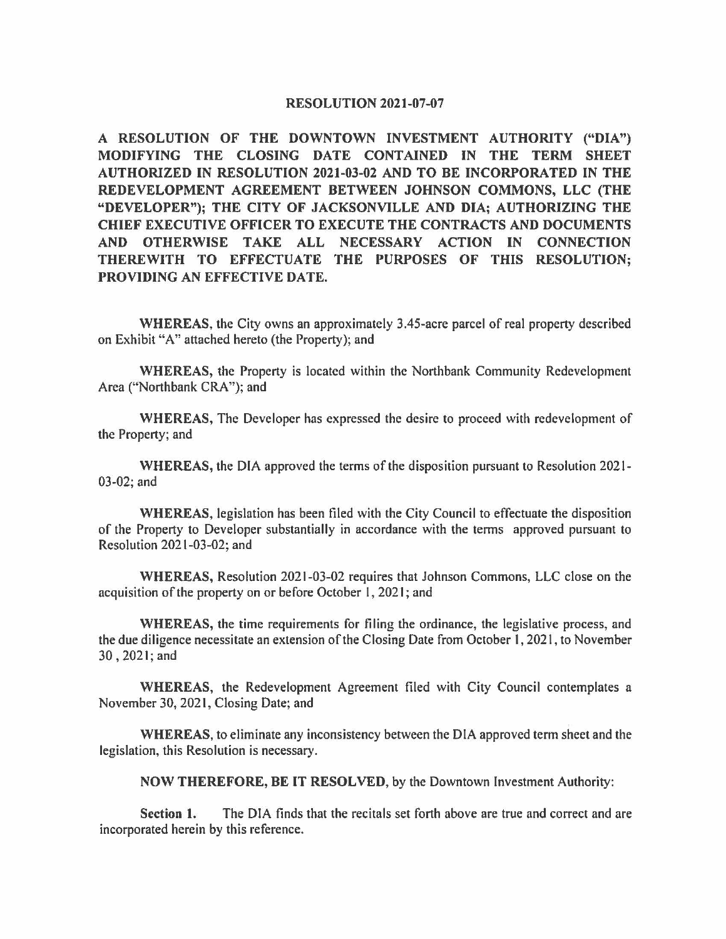### **RESOLUTION 2021-07-07**

**A RESOLUTION OF THE DOWNTOWN INVESTMENT AUTHORITY ("DIA") MODIFYING THE CLOSING DATE CONTAINED IN THE TERM SHEET AUTHORIZED IN RESOLUTION 2021-03-02 AND TO BE INCORPORATED IN THE REDEVELOPMENT AGREEMENT BETWEEN JOHNSON COMMONS, LLC (THE "DEVELOPER"); THE CITY OF JACKSONVILLE AND DIA; AUTHORIZING THE CHIEF EXECUTIVE OFFICER TO EXECUTE THE CONTRACTS AND DOCUMENTS AND OTHERWISE TAKE ALL NECESSARY ACTION IN CONNECTION THEREWITH TO EFFECTUATE THE PURPOSES OF THIS RESOLUTION; PROVIDING AN EFFECTIVE DATE.** 

**WHEREAS,** the City owns an approximately 3.45-acre parcel of real property described on Exhibit "A" attached hereto (the Property); and

**WHEREAS,** the Property is located within the Northbank Community Redevelopment Area ("Northbank CRA"); and

**WHEREAS,** The Developer has expressed the desire to proceed with redevelopment of the Property; and

**WHEREAS,** the DIA approved the terms of the disposition pursuant to Resolution 2021- 03-02; and

**WHEREAS,** legislation has been filed with the City Council to effectuate the disposition of the Property to Developer substantially in accordance with the tenns approved pursuant to Resolution 2021-03-02; and

**WHEREAS,** Resolution 2021-03-02 requires that Johnson Commons, LLC close on the acquisition of the property on or before October I, 2021; and

**WHEREAS,** the time requirements for filing the ordinance, the legislative process, and the due diligence necessitate an extension of the Closing Date from October I, 2021, to November 30 , 2021; and

**WHEREAS,** the Redevelopment Agreement filed with City Council contemplates a November 30, 2021, Closing Date; and

**WHEREAS,** to eliminate any inconsistency between the DIA approved term sheet and the legislation, this Resolution is necessary.

**NOW THEREFORE, BE IT RESOLVED,** by the Downtown Investment Authority:

**Section 1.** The DIA finds that the recitals set forth above are true and correct and are incorporated herein by this reference.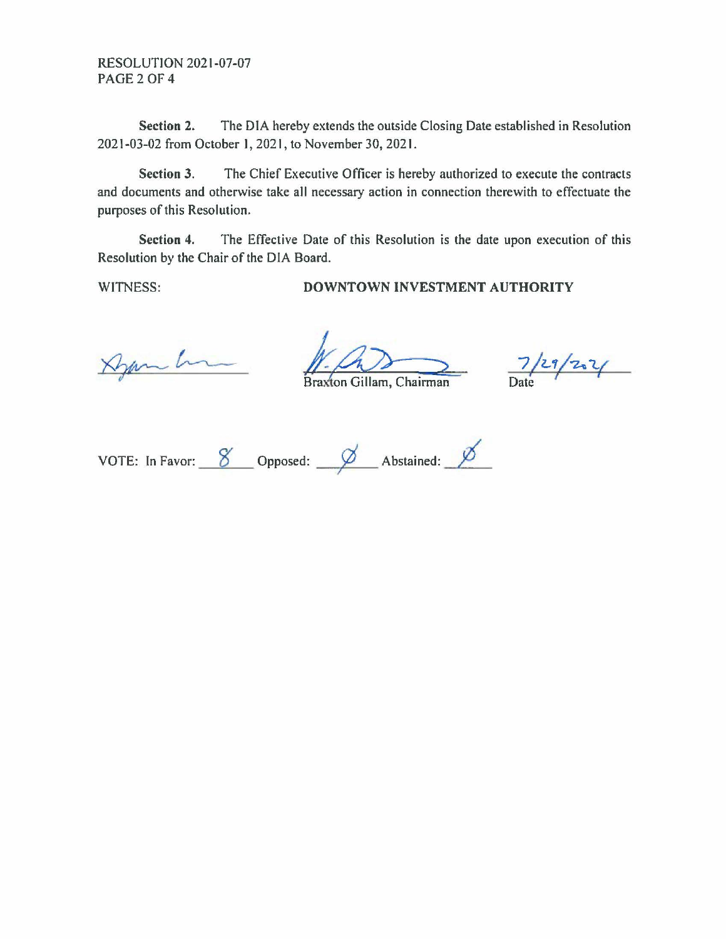**RESOLUTION 2021-07-07 PAGE 2 OF 4** 

Section 2. The DIA hereby extends the outside Closing Date established in Resolution 2021-03-02 from October 1, 2021, to November 30, 2021.

The Chief Executive Officer is hereby authorized to execute the contracts Section 3. and documents and otherwise take all necessary action in connection therewith to effectuate the purposes of this Resolution.

Section 4. The Effective Date of this Resolution is the date upon execution of this Resolution by the Chair of the DIA Board.

WITNESS:

## DOWNTOWN INVESTMENT AUTHORITY

Dem h

Braxton Gillam, Chairman

 $7/29/221$ 

VOTE: In Favor:  $\frac{8}{2}$  Opposed:  $\frac{8}{2}$  Abstained:  $\frac{8}{2}$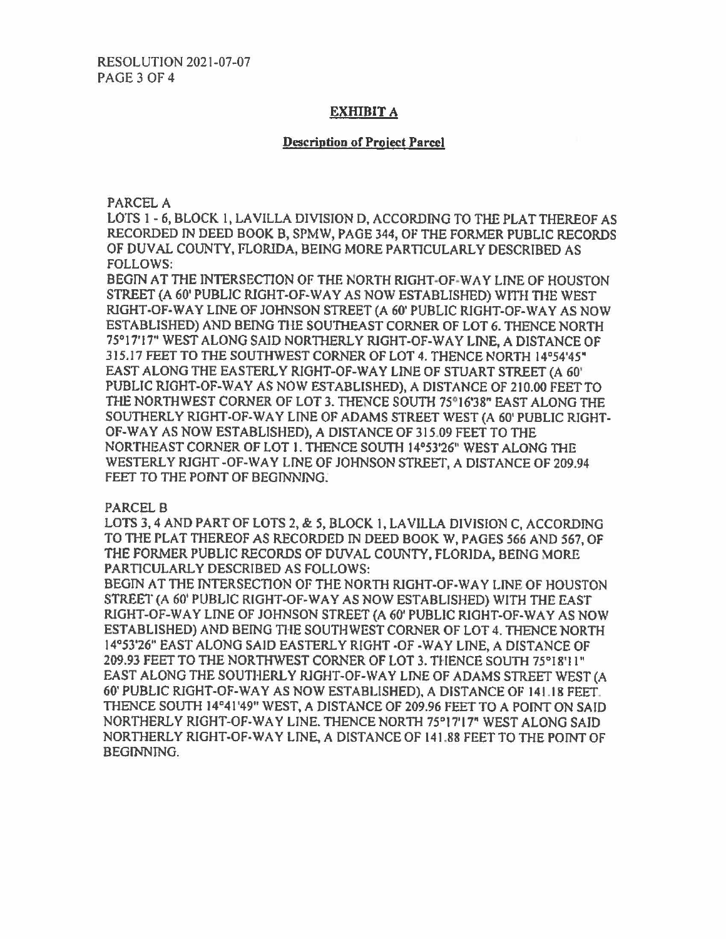# EXHIBIT A

## **Description of Project Parcel**

PARCEL A

LOTS I - 6, BLOCK I, LA VILLA DIVISION D. ACCORDING TO THE PLAT THEREOF AS RECORDED IN DEED BOOK B, SPMW, PAGE 344, OF THE FORMER PUBLIC RECORDS OF DUVAL COUNTY, FLORIDA, BEING MORE PARTICULARLY DESCRIBED AS FOLLOWS:

BEGJN AT THE INTERSECTION OF THE NORTH RIGHT-OF-WAY LINE OF HOUSTON STREET (A 60' PUBLIC RIGHT-OF-WAY AS NOW ESTABLISHED) WITH THE WEST RIGHT-OF-WAY LINE OF JOHNSON STREET (A 60' PUBLIC RIGHT-OF-WAY AS NOW ESTABLISHED) AND BErNG THE SOUTHEAST CORNER OF LOT 6. THENCE NORTH 75°17'17" WEST ALONG SAID NORTHERLY RIGHT-OF-WAY LINE, A DISTANCE OF 315,17 FEET TO THE SOUTHWEST CORNER OF LOT 4. THENCE NORTH 14°54'45" EAST ALONG THE EASTERLY RIGHT-OF-WAY LINE OF STUART STREET (A 60' PUBLIC RIGHT-OF-WAY AS NOW ESTABLISHED), A DISTANCE OF 210.00 FEET TO THE NORTHWEST CORNER OF LOT 3. THENCE SOUTH 75°16'38" EAST ALONG THE SOUTHERLY RIGHT-OF-WAY LINE OF **ADAMS** STREET \VEST (A 60' PUBLIC RIGHT-OF-WAY AS NOW ESTABLISHED), A DISTANCE OF 315.09 FEET TO THE NORTHEAST CORNER OF LOT 1. THENCE SOUTH 14°53'26" WEST ALONG THE WESTERLY RIGHT-OF-WAY LINE OF JOHNSON STREET, A DISTANCE OF 209.94 FEET TO THE POINT OF BEGINNING.

PARCEL B

LOTS 3, 4 AND PART OF LOTS 2, & *5,* BLOCK 1, LA VILLA DIVJSION C, ACCORDING TO THE PLAT THEREOF AS RECORDED IN DEED BOOK W, PAGES 566 AND 567, OF THE FORMER PUBLIC RECORDS OF DUVAL COUNTY, FLORJDA, BEING MORE PARTICULARLY DESCRIBED AS FOLLOWS:

BEGIN AT THE INTERSECTION OF THE NORTH RIGHT-OF-WAY LINE OF HOUSTON STREET (A 60' PUBLIC RIGHT-OF-WAY AS NOW ESTABLISHED) WITH THE EAST RIGHT-OF-WAY LINE OF JOHNSON STREET (A 60' PUBLIC RIGHT-OF-WAY AS NOW ESTABLISHED) AND BEING THE SOUTHWEST CORNER OF LOT 4. THENCE NORTH 14°53'26" EAST ALONG SAJD EASTERLY RIGHT -OF -WAY LINE, A DISTANCE OF 209.93 FEET TO THE NORTHWEST CORNER OF LOT 3. THENCE SOUTH 75°18'1 l" EAST ALONG THE SOUTHERLY RJGHT-OF-WAY LINE OF ADAMS STREET WEST (A 60' PUBLIC RJGHT-OF-WA Y AS NOW ESTABLISHED), A DISTANCE OF 14 l. I 8 FEET. THENCE SOUTH 14°41'49" WEST, A DISTANCE OF 209.96 FEET TO A POINT ON SAID NORTHERLY RIGHT-OF-WAY LINE. THENCE NORTH 75°17'17" WEST ALONG SAID NORTHERLY RIGHT-OF-WAY LINE, A DISTANCE OF 141.88 FEET TO THE POINT OF BEGINNING.